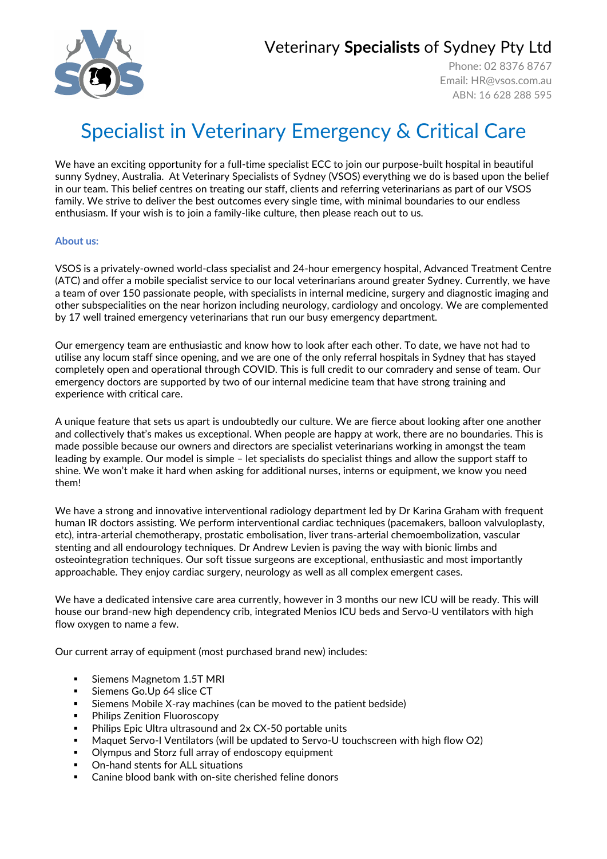## Veterinary **Specialists** of Sydney Pty Ltd

Phone: 02 8376 8767 Email: [HR@vsos.com.au](mailto:HR@vsos.com.au) ABN: 16 628 288 595

# Specialist in Veterinary Emergency & Critical Care

We have an exciting opportunity for a full-time specialist ECC to join our purpose-built hospital in beautiful sunny Sydney, Australia. At Veterinary Specialists of Sydney (VSOS) everything we do is based upon the belief in our team. This belief centres on treating our staff, clients and referring veterinarians as part of our VSOS family. We strive to deliver the best outcomes every single time, with minimal boundaries to our endless enthusiasm. If your wish is to join a family-like culture, then please reach out to us.

### **About us:**

VSOS is a privately-owned world-class specialist and 24-hour emergency hospital, Advanced Treatment Centre (ATC) and offer a mobile specialist service to our local veterinarians around greater Sydney. Currently, we have a team of over 150 passionate people, with specialists in internal medicine, surgery and diagnostic imaging and other subspecialities on the near horizon including neurology, cardiology and oncology. We are complemented by 17 well trained emergency veterinarians that run our busy emergency department.

Our emergency team are enthusiastic and know how to look after each other. To date, we have not had to utilise any locum staff since opening, and we are one of the only referral hospitals in Sydney that has stayed completely open and operational through COVID. This is full credit to our comradery and sense of team. Our emergency doctors are supported by two of our internal medicine team that have strong training and experience with critical care.

A unique feature that sets us apart is undoubtedly our culture. We are fierce about looking after one another and collectively that's makes us exceptional. When people are happy at work, there are no boundaries. This is made possible because our owners and directors are specialist veterinarians working in amongst the team leading by example. Our model is simple – let specialists do specialist things and allow the support staff to shine. We won't make it hard when asking for additional nurses, interns or equipment, we know you need them!

We have a strong and innovative interventional radiology department led by Dr Karina Graham with frequent human IR doctors assisting. We perform interventional cardiac techniques (pacemakers, balloon valvuloplasty, etc), intra-arterial chemotherapy, prostatic embolisation, liver trans-arterial chemoembolization, vascular stenting and all endourology techniques. Dr Andrew Levien is paving the way with bionic limbs and osteointegration techniques. Our soft tissue surgeons are exceptional, enthusiastic and most importantly approachable. They enjoy cardiac surgery, neurology as well as all complex emergent cases.

We have a dedicated intensive care area currently, however in 3 months our new ICU will be ready. This will house our brand-new high dependency crib, integrated Menios ICU beds and Servo-U ventilators with high flow oxygen to name a few.

Our current array of equipment (most purchased brand new) includes:

- Siemens Magnetom 1.5T MRI
- Siemens Go.Up 64 slice CT
- Siemens Mobile X-ray machines (can be moved to the patient bedside)
- Philips Zenition Fluoroscopy
- Philips Epic Ultra ultrasound and 2x CX-50 portable units
- Maquet Servo-I Ventilators (will be updated to Servo-U touchscreen with high flow O2)
- Olympus and Storz full array of endoscopy equipment
- On-hand stents for ALL situations
- Canine blood bank with on-site cherished feline donors